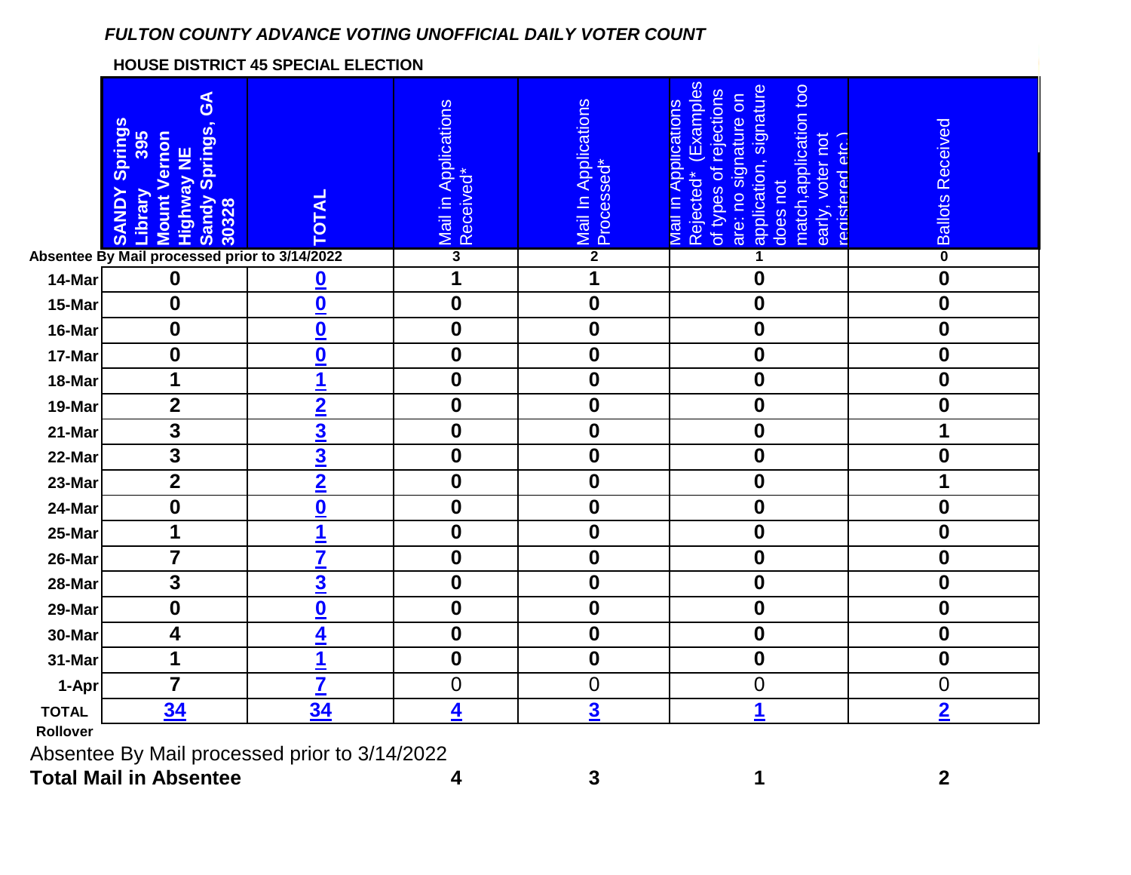## *FULTON COUNTY ADVANCE VOTING UNOFFICIAL DAILY VOTER COUNT*

## **HOUSE DISTRICT 45 SPECIAL ELECTION**

|                                                                             | $\mathbf{S}$<br>Springs<br>395<br><b>Sandy Springs,</b><br><b>Mount Vernon</b><br><b>Highway NE</b><br>Library<br><b>KANDY</b><br>30328 | <b>TOTAL</b>             | Mail in Applications<br>Received* | Mail In Applications<br>Processed* | (Examples<br>application, signature<br>does not<br>match, application too<br>of types of rejections<br>are: no signature on<br>Mail in Applications<br>early, voter not<br>registered etc.<br>Rejected* | <b>Ballots Received</b> |
|-----------------------------------------------------------------------------|-----------------------------------------------------------------------------------------------------------------------------------------|--------------------------|-----------------------------------|------------------------------------|---------------------------------------------------------------------------------------------------------------------------------------------------------------------------------------------------------|-------------------------|
|                                                                             | Absentee By Mail processed prior to 3/14/2022                                                                                           |                          | $\overline{\mathbf{3}}$           | $\overline{2}$                     |                                                                                                                                                                                                         | $\overline{\mathbf{0}}$ |
| 14-Mar                                                                      | $\mathbf 0$                                                                                                                             | $\overline{\mathbf{0}}$  | 1                                 | 1                                  | $\boldsymbol{0}$                                                                                                                                                                                        | $\boldsymbol{0}$        |
| 15-Mar                                                                      | $\boldsymbol{0}$                                                                                                                        | $\overline{\mathbf{0}}$  | $\boldsymbol{0}$                  | $\boldsymbol{0}$                   | $\boldsymbol{0}$                                                                                                                                                                                        | $\boldsymbol{0}$        |
| 16-Mar                                                                      | $\boldsymbol{0}$                                                                                                                        | $\underline{\mathbf{0}}$ | $\boldsymbol{0}$                  | $\mathbf 0$                        | $\mathbf 0$                                                                                                                                                                                             | $\boldsymbol{0}$        |
| 17-Mar                                                                      | $\boldsymbol{0}$                                                                                                                        | $\overline{\mathbf{0}}$  | $\boldsymbol{0}$                  | $\bf{0}$                           | $\boldsymbol{0}$                                                                                                                                                                                        | $\boldsymbol{0}$        |
| 18-Mar                                                                      | 1                                                                                                                                       | 1                        | $\boldsymbol{0}$                  | $\boldsymbol{0}$                   | $\boldsymbol{0}$                                                                                                                                                                                        | $\mathbf 0$             |
| 19-Mar                                                                      | $\overline{2}$                                                                                                                          | $\overline{2}$           | $\boldsymbol{0}$                  | $\boldsymbol{0}$                   | $\boldsymbol{0}$                                                                                                                                                                                        | $\boldsymbol{0}$        |
| 21-Mar                                                                      | 3                                                                                                                                       | $\overline{\mathbf{3}}$  | $\boldsymbol{0}$                  | $\boldsymbol{0}$                   | $\mathbf 0$                                                                                                                                                                                             | 1                       |
| 22-Mar                                                                      | $\overline{\mathbf{3}}$                                                                                                                 | $\overline{\mathbf{3}}$  | $\boldsymbol{0}$                  | $\mathbf 0$                        | $\boldsymbol{0}$                                                                                                                                                                                        | $\mathbf 0$             |
| 23-Mar                                                                      | $\mathbf{2}$                                                                                                                            | $\overline{2}$           | $\boldsymbol{0}$                  | $\bf{0}$                           | $\boldsymbol{0}$                                                                                                                                                                                        | 1                       |
| 24-Mar                                                                      | $\mathbf 0$                                                                                                                             | $\bf{0}$                 | $\boldsymbol{0}$                  | $\boldsymbol{0}$                   | $\mathbf 0$                                                                                                                                                                                             | $\mathbf 0$             |
| 25-Mar                                                                      | 1                                                                                                                                       | 1                        | $\boldsymbol{0}$                  | $\mathbf 0$                        | $\boldsymbol{0}$                                                                                                                                                                                        | $\boldsymbol{0}$        |
| 26-Mar                                                                      | $\overline{7}$                                                                                                                          | $\overline{\mathbf{7}}$  | $\boldsymbol{0}$                  | $\boldsymbol{0}$                   | $\mathbf 0$                                                                                                                                                                                             | $\bf{0}$                |
| 28-Mar                                                                      | $\overline{\mathbf{3}}$                                                                                                                 | $\overline{\mathbf{3}}$  | $\overline{\mathbf{0}}$           | $\mathbf 0$                        | $\overline{\mathbf{0}}$                                                                                                                                                                                 | $\boldsymbol{0}$        |
| 29-Mar                                                                      | $\boldsymbol{0}$                                                                                                                        | $\overline{\mathbf{0}}$  | $\boldsymbol{0}$                  | $\boldsymbol{0}$                   | $\boldsymbol{0}$                                                                                                                                                                                        | $\boldsymbol{0}$        |
| 30-Mar                                                                      | 4                                                                                                                                       | 4                        | $\boldsymbol{0}$                  | $\boldsymbol{0}$                   | $\boldsymbol{0}$                                                                                                                                                                                        | $\boldsymbol{0}$        |
| 31-Mar                                                                      | 1                                                                                                                                       |                          | $\boldsymbol{0}$                  | $\boldsymbol{0}$                   | $\boldsymbol{0}$                                                                                                                                                                                        | $\boldsymbol{0}$        |
| 1-Apr                                                                       | $\overline{7}$                                                                                                                          | $\overline{\mathbf{7}}$  | $\mathbf 0$                       | $\mathbf 0$                        | $\mathbf 0$                                                                                                                                                                                             | $\overline{0}$          |
| <b>TOTAL</b>                                                                | 34                                                                                                                                      | 34                       | 4                                 | $\overline{\mathbf{3}}$            | 1                                                                                                                                                                                                       | $\overline{2}$          |
| Rollover                                                                    |                                                                                                                                         |                          |                                   |                                    |                                                                                                                                                                                                         |                         |
| $\Lambda$ beentee Bu $\Lambda$ leil processed prier to $2/4$ $\Lambda/2022$ |                                                                                                                                         |                          |                                   |                                    |                                                                                                                                                                                                         |                         |

Absentee By Mail processed prior to 3/14/2022

**Total Mail in Absentee 4 3 1 2**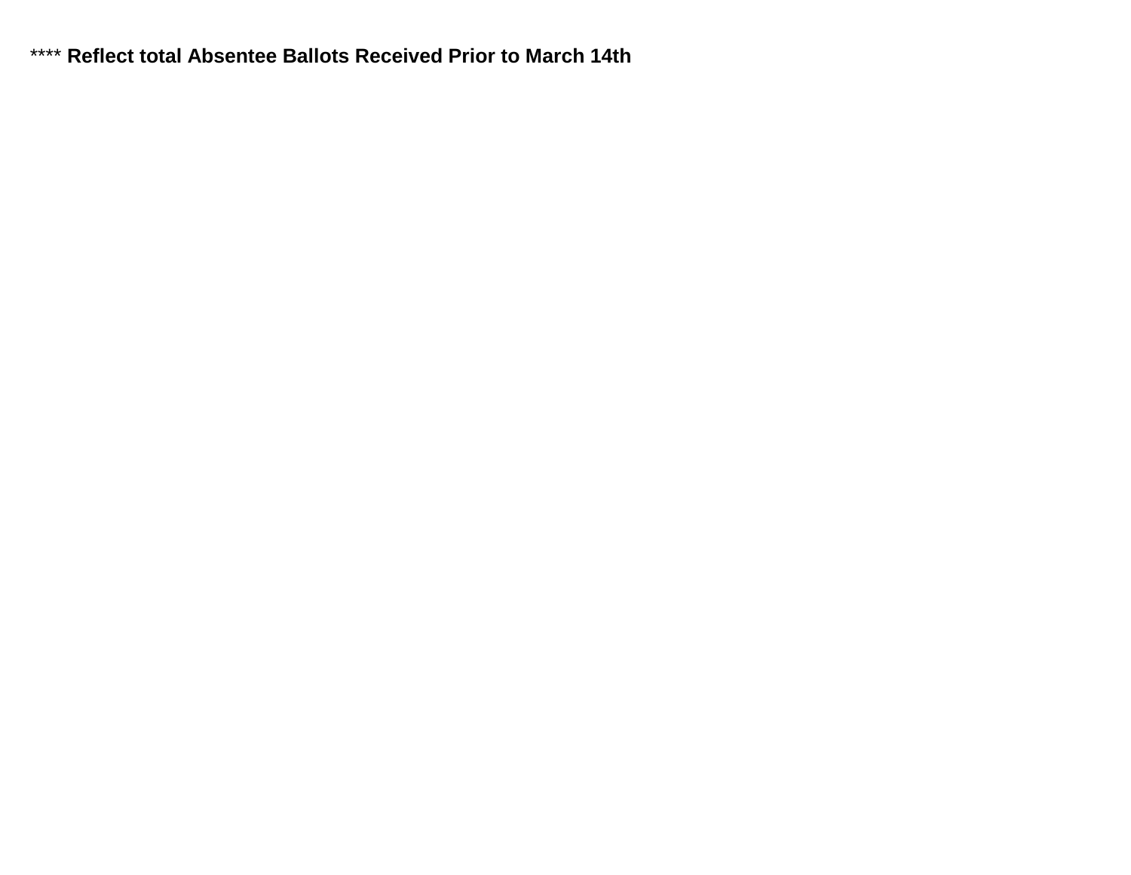\*\*\*\* Reflect total Absentee Ballots Received Prior to March 14th